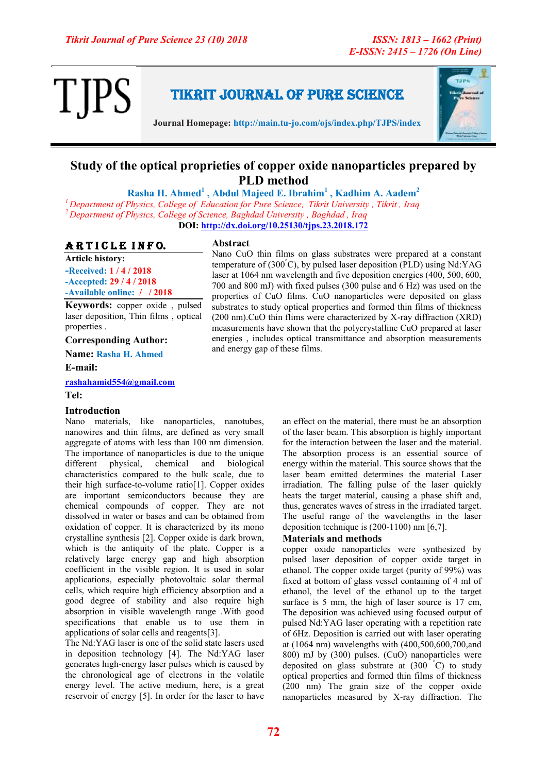

Tikrit Journal of Pure Science

**Journal Homepage: http://main.tu-jo.com/ojs/index.php/TJPS/index**



### **Study of the optical proprieties of copper oxide nanoparticles prepared by PLD method**

**Rasha H. Ahmed<sup>1</sup> , Abdul Majeed E. Ibrahim<sup>1</sup> , Kadhim A. Aadem<sup>2</sup>** *<sup>1</sup>Department of Physics, College of Education for Pure Science, Tikrit University , Tikrit , Iraq <sup>2</sup>Department of Physics, College of Science, Baghdad University , Baghdad , Iraq* **DOI:<http://dx.doi.org/10.25130/tjps.23.2018.172>**

### ARTICLE INFO.

**Article history: -Received: 1 / 4 / 2018 -Accepted: 29 / 4 / 2018**

### **-Available online: / / 2018**

**Keywords:** copper oxide , pulsed laser deposition, Thin films , optical properties .

**Corresponding Author:**

**Name: Rasha H. Ahmed**

**E-mail:** 

**[rashahamid554@gmail.com](mailto:rashahamid554@gmail.com)**

**Tel:**

### **Introduction**

Nano materials, like nanoparticles, nanotubes, nanowires and thin films, are defined as very small aggregate of atoms with less than 100 nm dimension. The importance of nanoparticles is due to the unique different physical, chemical and biological characteristics compared to the bulk scale, due to their high surface-to-volume ratio[1]. Copper oxides are important semiconductors because they are chemical compounds of copper. They are not dissolved in water or bases and can be obtained from oxidation of copper. It is characterized by its mono crystalline synthesis [2]. Copper oxide is dark brown, which is the antiquity of the plate. Copper is a relatively large energy gap and high absorption coefficient in the visible region. It is used in solar applications, especially photovoltaic solar thermal cells, which require high efficiency absorption and a good degree of stability and also require high absorption in visible wavelength range .With good specifications that enable us to use them in applications of solar cells and reagents[3].

The Nd:YAG laser is one of the solid state lasers used in deposition technology [4]. The Nd:YAG laser generates high-energy laser pulses which is caused by the chronological age of electrons in the volatile energy level. The active medium, here, is a great reservoir of energy [5]. In order for the laser to have

### **Abstract**

Nano CuO thin films on glass substrates were prepared at a constant temperature of  $(300^{\circ}C)$ , by pulsed laser deposition (PLD) using Nd:YAG laser at 1064 nm wavelength and five deposition energies (400, 500, 600, 700 and 800 mJ) with fixed pulses (300 pulse and 6 Hz) was used on the properties of CuO films. CuO nanoparticles were deposited on glass substrates to study optical properties and formed thin films of thickness (200 nm).CuO thin flims were characterized by X-ray diffraction (XRD) measurements have shown that the polycrystalline CuO prepared at laser energies , includes optical transmittance and absorption measurements and energy gap of these films.

> an effect on the material, there must be an absorption of the laser beam. This absorption is highly important for the interaction between the laser and the material. The absorption process is an essential source of energy within the material. This source shows that the laser beam emitted determines the material Laser irradiation. The falling pulse of the laser quickly heats the target material, causing a phase shift and, thus, generates waves of stress in the irradiated target. The useful range of the wavelengths in the laser deposition technique is (200-1100) nm [6,7].

### **Materials and methods**

copper oxide nanoparticles were synthesized by pulsed laser deposition of copper oxide target in ethanol. The copper oxide target (purity of 99%) was fixed at bottom of glass vessel containing of 4 ml of ethanol, the level of the ethanol up to the target surface is 5 mm, the high of laser source is 17 cm, The deposition was achieved using focused output of pulsed Nd:YAG laser operating with a repetition rate of 6Hz. Deposition is carried out with laser operating at (1064 nm) wavelengths with (400,500,600,700,and 800) mJ by (300) pulses. (CuO) nanoparticles were deposited on glass substrate at (300 °C) to study optical properties and formed thin films of thickness (200 nm) The grain size of the copper oxide nanoparticles measured by X-ray diffraction. The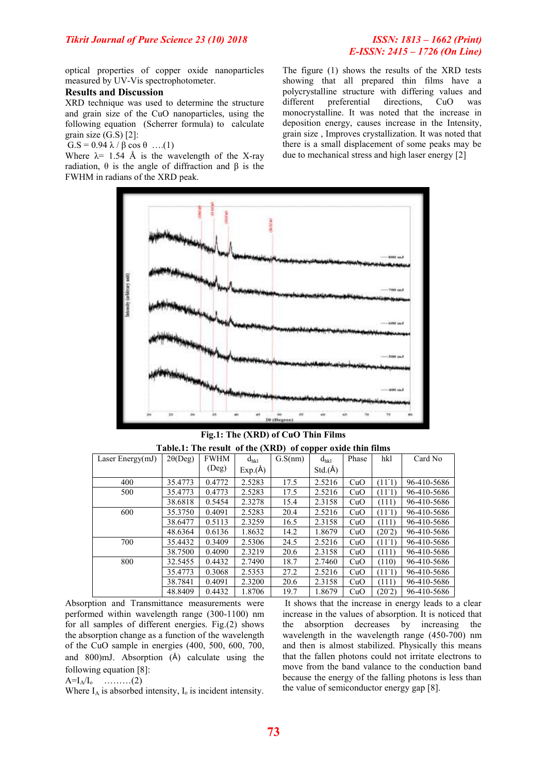# *E-ISSN: 2415 – 1726 (On Line)*

optical properties of copper oxide nanoparticles measured by UV-Vis spectrophotometer.

### **Results and Discussion**

XRD technique was used to determine the structure and grain size of the CuO nanoparticles, using the following equation (Scherrer formula) to calculate grain size (G.S) [2]:

G.S =  $0.94 \lambda / \beta \cos \theta$  ....(1)

Where  $\lambda$ = 1.54 Å is the wavelength of the X-ray radiation, θ is the angle of diffraction and β is the FWHM in radians of the XRD peak.

The figure (1) shows the results of the XRD tests showing that all prepared thin films have a polycrystalline structure with differing values and different preferential directions, CuO was monocrystalline. It was noted that the increase in deposition energy, causes increase in the Intensity, grain size , Improves crystallization. It was noted that there is a small displacement of some peaks may be due to mechanical stress and high laser energy [2]



**Fig.1: The (XRD) of CuO Thin Films Table.1: The result of the (XRD) of copper oxide thin films**

| Laser Energy $(mJ)$ | $2\theta(Deg)$ | <b>FWHM</b> | $d_{hkl}$ | G.S(nm) | $d_{hkl}$ | Phase | hkl             | Card No     |
|---------------------|----------------|-------------|-----------|---------|-----------|-------|-----------------|-------------|
|                     |                | (Deg)       | Exp(A)    |         | Std.(A)   |       |                 |             |
| 400                 | 35.4773        | 0.4772      | 2.5283    | 17.5    | 2.5216    | CuO   | $(11-1)$        | 96-410-5686 |
| 500                 | 35.4773        | 0.4773      | 2.5283    | 17.5    | 2.5216    | CuO   | $(11-1)$        | 96-410-5686 |
|                     | 38.6818        | 0.5454      | 2.3278    | 15.4    | 2.3158    | CuO   | (111)           | 96-410-5686 |
| 600                 | 35.3750        | 0.4091      | 2.5283    | 20.4    | 2.5216    | CuO   | $(11-1)$        | 96-410-5686 |
|                     | 38.6477        | 0.5113      | 2.3259    | 16.5    | 2.3158    | CuO   | (111)           | 96-410-5686 |
|                     | 48.6364        | 0.6136      | 1.8632    | 14.2    | 1.8679    | CuO   | (20.2)          | 96-410-5686 |
| 700                 | 35.4432        | 0.3409      | 2.5306    | 24.5    | 2.5216    | CuO   | (11)            | 96-410-5686 |
|                     | 38.7500        | 0.4090      | 2.3219    | 20.6    | 2.3158    | CuO   | (111)           | 96-410-5686 |
| 800                 | 32.5455        | 0.4432      | 2.7490    | 18.7    | 2.7460    | CuO   | (110)           | 96-410-5686 |
|                     | 35.4773        | 0.3068      | 2.5353    | 27.2    | 2.5216    | CuO   | $(11^{\circ}1)$ | 96-410-5686 |
|                     | 38.7841        | 0.4091      | 2.3200    | 20.6    | 2.3158    | CuO   | (111)           | 96-410-5686 |
|                     | 48.8409        | 0.4432      | 1.8706    | 19.7    | 1.8679    | CuO   | (20.2)          | 96-410-5686 |

Absorption and Transmittance measurements were performed within wavelength range (300-1100) nm for all samples of different energies. Fig.(2) shows the absorption change as a function of the wavelength of the CuO sample in energies (400, 500, 600, 700, and 800)mJ. Absorption (Å) calculate using the following equation [8]:

 $A=I_A/I_0$  (2)

Where  $I_A$  is absorbed intensity,  $I_0$  is incident intensity.

It shows that the increase in energy leads to a clear increase in the values of absorption. It is noticed that the absorption decreases by increasing the wavelength in the wavelength range (450-700) nm and then is almost stabilized. Physically this means that the fallen photons could not irritate electrons to move from the band valance to the conduction band because the energy of the falling photons is less than the value of semiconductor energy gap [8].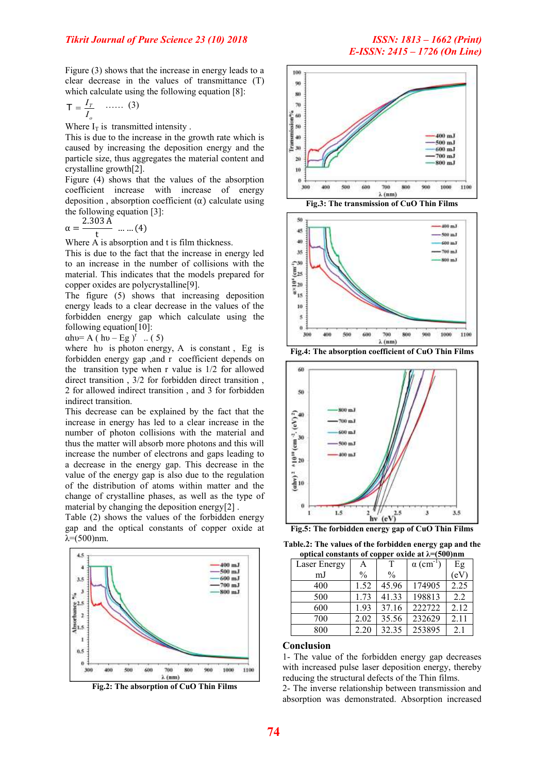Figure (3) shows that the increase in energy leads to a clear decrease in the values of transmittance (T) which calculate using the following equation [8]:

$$
\mathsf{T} = \frac{I_T}{I_o} \quad \cdots \cdots \quad (3)
$$

Where  $I_T$  is transmitted intensity.

This is due to the increase in the growth rate which is caused by increasing the deposition energy and the particle size, thus aggregates the material content and crystalline growth[2].

Figure (4) shows that the values of the absorption coefficient increase with increase of energy deposition, absorption coefficient  $(\alpha)$  calculate using the following equation [3]:

$$
\alpha = \frac{2.303 \text{ A}}{\text{t}} \quad \dots \dots (4)
$$

Where A is absorption and t is film thickness.

This is due to the fact that the increase in energy led to an increase in the number of collisions with the material. This indicates that the models prepared for copper oxides are polycrystalline[9].

The figure (5) shows that increasing deposition energy leads to a clear decrease in the values of the forbidden energy gap which calculate using the following equation[10]:

 $\alpha$ hυ= A (hυ – Eg)<sup>r</sup> .. (5)

where hu is photon energy, A is constant, Eg is forbidden energy gap ,and r coefficient depends on the transition type when r value is 1/2 for allowed direct transition , 3/2 for forbidden direct transition , 2 for allowed indirect transition , and 3 for forbidden indirect transition.

This decrease can be explained by the fact that the increase in energy has led to a clear increase in the number of photon collisions with the material and thus the matter will absorb more photons and this will increase the number of electrons and gaps leading to a decrease in the energy gap. This decrease in the value of the energy gap is also due to the regulation of the distribution of atoms within matter and the change of crystalline phases, as well as the type of material by changing the deposition energy[2] .

Table (2) shows the values of the forbidden energy gap and the optical constants of copper oxide at  $λ=(500)$ nm.



**Fig.2: The absorption of CuO Thin Films**











**Table.2: The values of the forbidden energy gap and the optical constants of copper oxide at λ=(500)nm**

| $\alpha$ optical constants of copper balge at $\kappa$ -(500) in the |               |               |                              |      |  |  |  |  |  |
|----------------------------------------------------------------------|---------------|---------------|------------------------------|------|--|--|--|--|--|
| Laser Energy                                                         | А             |               | $\alpha$ (cm <sup>-1</sup> ) | Eg   |  |  |  |  |  |
| mJ                                                                   | $\frac{0}{0}$ | $\frac{0}{0}$ |                              | (eV  |  |  |  |  |  |
| 400                                                                  | 1.52          | 45.96         | 174905                       | 2.25 |  |  |  |  |  |
| 500                                                                  | 1.73          | 41.33         | 198813                       | 2.2  |  |  |  |  |  |
| 600                                                                  | 1.93          | 37.16         | 222722                       | 2.12 |  |  |  |  |  |
| 700                                                                  | 2.02          | 35.56         | 232629                       | 2.11 |  |  |  |  |  |
| 800                                                                  | 2.20          | 32.35         | 253895                       | 2.1  |  |  |  |  |  |

#### **Conclusion**

1- The value of the forbidden energy gap decreases with increased pulse laser deposition energy, thereby reducing the structural defects of the Thin films.

2- The inverse relationship between transmission and absorption was demonstrated. Absorption increased